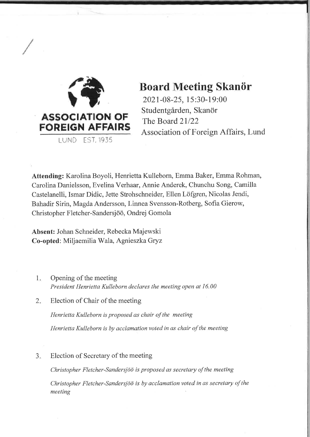

# Board Meeting Skanör

2021-08-25, I 5 :30-1 9:00 Studentgården, Skanör The Board 21/22 Association of Foreign Affairs, Lund

Attending: Karolina Boyoli, Henrietta Kulleborn, Emma Baker, Emma Rohman, Carolina Danielsson, Evelina Verhaar, Annie Anderek, Chunchu Song, Camilla Castelanelli, Ismar Didic, Jette Strohschneider, Ellen Löfgren, Nicolas Jendi, Bahadir Sirin, Magda Andersson, Lirurea Svensson-Rotberg, Sofia Gierow, Christopher Fletcher-Sandersjöö, Ondrej Gomola

Absent: Johan Schneider, Rebecka Majewski Co-opted: Miljaemilia Wala, Agnieszka Gryz

- Opening of the meeting President Henrietta Kulleborn declares the meeting open at 16.00 1
- Election of Chair of the meeting 2.

Henrietta Kulleborn is proposed as chair of the meeting Henrietta Kulleborn is by acclamation voted in as chair of the meeting

Election of Secretary of the meeting a -l

Christopher Fletcher-Søndersjöo is proposed as secretary of the meeting

Christopher Fletcher-Sandersjöö is by acclamation voted in as secretary of the meeting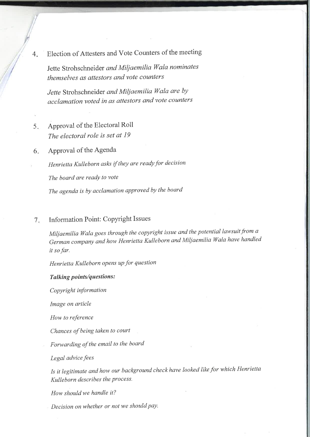4 Election of Attesters and Vote Counters of the meeting

Jette Strohschneider and Miliaemilia Wala nominates themselves as attestors and vote counters

Jette Strohschneider and Miliaemilia Wala are by acclamation voted ín as attestors and vote counters

- Approval of the Electoral Roll The electoral role is set at 19 5.
- Approval of the Agenda 6

Henrietta Kulleborn asks if they are ready for decision The board are ready to vote

The agenda is by acclamation approved by the board

#### Information Point: Copyright Issues 7

Miljaemilia Wala goes through the copyright issue and the potential lawsuit from a German compony and how Henrietta Kulleborn and Miljaemilia Wala have handled it so far.

Henrietta Kulleborn opens up for question

#### Tølking points/questions :

Copyright information

Image on article

How to reference

Chances of being taken to court

Forwarding of the email to the board

Legal advice fees

Is it legitimate and how our background check have looked like for which Henrietta Kulleborn describes the process.

How should we handle it?

Decision on whether or not we should pay.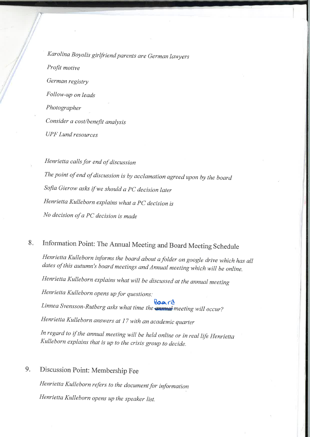Karolina Boyolis girlfriend parents are German lawyers Profit motive German registry Follow-up on leads Photographer Consider a cost/benefit analysis UPF Lund resources

Henrietta calls for end of discussion The point of end of discussion is by acclamation agreed upon by the board Sofia Gierow asks if we should a PC decision later Henrietta Kulleborn explains what a PC decision is No decision of a PC decision is made

#### Information Point: The Annual Meeting and Board Meeting Schedule  $8.$

Henrietta Kulleborn informs the board about afotder on google drive which has all dates of this autumn's board meetings and Annual meeting which will be online.

Henrietta Kulleborn explains what will be discussed at the annual meeting

Henrietta Kulleborn opens up for questions:

Linnea Svensson-Rutberg asks what time the **space of the state of the State State** Mill occur?

Henrietta Kulleborn answers at 17 with an academic quarter

In regard to íf the annual meeting wilt be held online or in real life Henrietta Kulleborn explains that is up to the crisis group to decide.

## 9. Discussion Point: Membership Fee

Henrietta Kulleborn refers to the document for information Henrietta Kulleborn opens up the speaker list.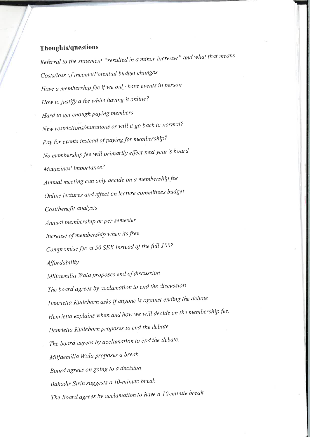## Thoughts/questions

Referral to the statement "resulted in a minor increase" andwhat that means Costs/loss of income/Potential budget changes Have a membership fee if we only have events in person How to justify afee while having it online? Hard to get enough paying members New restrictions/mutations or will it go back to normal? Pay for events instead of paying for membership? No membership fee will primarily effect next year's board Magazines' importance? Annual meeting can only decide on a membership fee Online lectures and effect on lecture committees budget Cost/benefit analysis Annual membership or per semester Increase of membership when its free Compromise fee at 50 SEK instead of the full 100? **Affordability** Miliaemilia Wala proposes end of discussion The board agrees by acclamation to end the discussion Henrietta Kulleborn asks if anyone is against ending the debate Henrietta explains when and how we will decide on the membership fee. Henrietta Kulleborn proposes to end the debate The board agrees by acclamation to end the debate. Miljaemilia Wala proposes a break Board agrees on going to a decision Bahadir Sirin suggests a 10-minute break The Board agrees by acclamation to have a  $10$ -minute break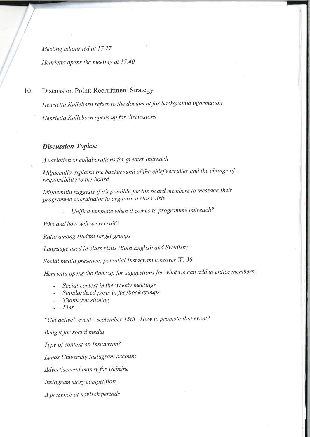Meeting adjourned at 17.27 Henriettø opens the meeting at 17.40

## 10. Discussion Point: Recruitment Strategy

Henrietta Kulleborn refers to the document for background information Henrietta Kulleborn opens up for discussions

### **Discussion Topics:**

A variation of collaborations for greater outreach

Miljaemilia explains the background of the chief recruiter and the change of responsibility to the board

Miljaemilia suggests if it's possible for the board members to message their programme coordinator to organise a class visit.

Unified template when it comes to programme outreach?

Who and how will we recruit?

Ratio among student target groups

Language used in class visits (Both English and Swedish)

Social media presence: potential Instagram takeover W. 36

Henrietta opens the floor up for suggestions for what we can add to entice members!

- Social context in the weekly meetings
- Standardized posts in facebook groups
- Thank you sittning
- Pins

"Get active" event - september I5th - How to promote that event?

Budget for social media

Type of content on Instagram?

Lunds University Instagram account

Advertisement money for webzine

Instagram story competition

A presence at novisch periods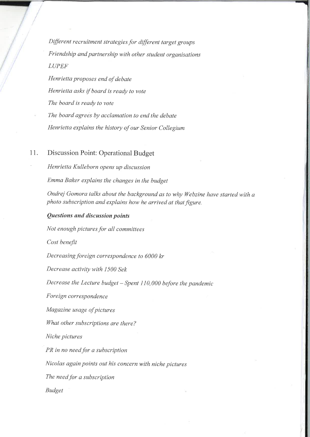Different recruitment strategies for different target groups Friendship and partnership with other student organisations LUPEF

Henrietta proposes end of debate Henrietta asks if board is ready to vote The board is ready to vote The board agrees by acclamation to end the debate Henrietta explains the history of our Senior Collegium

## 11. Discussion Point: Operational Budget

' Henrietta Kulleborn opens up discussion

Emma Baker explains the changes in the budget

Ondrei Gomora talks about the background as to why Webzine have started with a photo subscription and explains how he arrived at that figure.

### Questions ønd discussion points

Not enough pictures for all committees

Cost benefit

Decreasing foreign correspondence to  $6000$  kr

Decrease activity with 1500 Sek

Decrease the Lecture budget  $-Spent$  110,000 before the pandemic

Foreign correspondence

Magazine usage of pictures

What other subscriptions are there?

Niche pictures

PR in no need for a subscription

Nicolas again points out his concern with niche pictures

The need for a subscription

Budget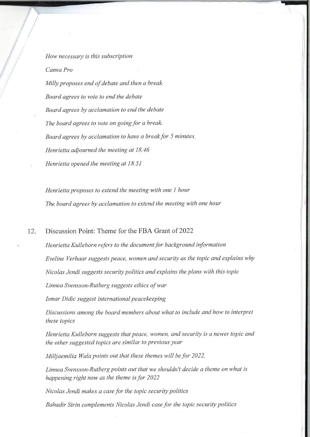How necessary is this subscription Canva Pro

Milly proposes end of debate and then a break Board agrees to vote to end the debate Board agrees by acclamation to end the debate The board agrees to vote on going for a break. Board agrees by acclamation to have a break for 5 minutes. Henrietta adiourned the meeting at 18.46 Henrietta opened the meeting at 18.51

Henrietta proposes to extend the meeting with one I hour The board agrees by acclamation to extend the meeting with one hour

12. Discussion Point: Theme for the FBA Grant of <sup>2022</sup>

Henrietta Kulleborn refers to the document for background information Eveline Verhaar suggests peace, women and security as the topic and explains why Nicolas Jendi suggests security politics and explains the plans with this topic Linnea Svensson-Rutberg suggests ethics of war

Ismar Didic suggest international peacekeeping

Discussions among the board members about what to include and how to interpret these topics

Henrietta Kulleborn suggests that pëøce, women, and security is a newer topic and the other suggested topics are similar to previous year

Milliaemilia Wala points out that these themes will be for 2022.

Linnea Svensson-Rutberg points out that we shouldn't decide a theme onwhat is happening right now as the theme is for 2022

Nicolas Jendi makes a case for the topic security politics

Bahadir Sirin complements Nicolas Jendi case for the topic security politics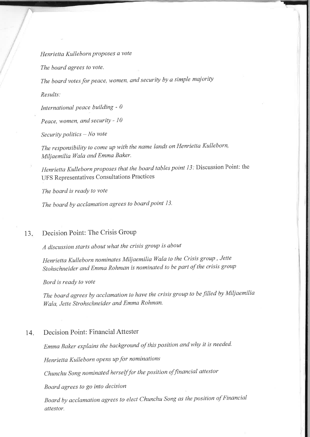Henrietta Kulleborn proposes a vote

The board agrees to vote.

The board votes for peace, women, and security by a simple majority

Results:

International peace building -  $0$ 

Peace, women, and security -  $10$ 

 $Security$  politics  $- No$  vote

The responsibility to come up with the name lands on Henrietta Kulleborn, Miljaemilia Wala and Emma Baker.

Henrietta Kulleborn proposes that the board tables point 13: Discussion Point: the UFS Representatives Consultations Practices

The board is ready to vote

The board by acclamation agrees to board point 13.

#### $13.$ Decision Point: The Crisis Group

A discussion starts about what the crisis group is about

Henrietta Kulleborn nominates Miliaemilia Wala to the Crisis group , Jette Stohschneider and Emma Rohman is nominated to be part of the crisis group

Bord is ready to vote

The board agrees by acclamation to have the crisis group to be filled by Miljaemilia Wala, Jette Strohschneider and Emma Rohman.

#### $14.$ Decision Point: Financial Attester

Emma Baker explains the background of this position and why it is needed.

Henrietta Kulleborn opens up for nominations

Chunchu Song nominated herself for the position of financial attestor

Board agrees to go into decision

Board by acclamation øgrees to elect Chunchu Song as the position of Financial øttestor.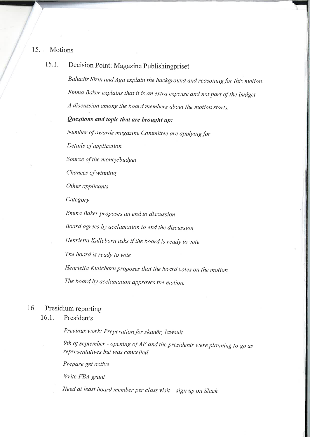15. Motions

## 15.1. Decision Point: Magazine Publishingpriset

Bahadir Sirin and Aga explain the background and reasoning for this motion. Emma Baker explains that it is an extra expense and not part of the budget. A discussion among the board members about the motion starts.

### Questions and topic that are brought  $up:$

Number of awards magazine Committee are applying for

Details of application

Source of the money/budget

Chances of winning

Other applicants

Category

Emma Baker proposes qn end to discussion

Board agrees by acclamation to end the discussion

Henrietta Kulleborn asks if the board is ready to vote

The board is ready to vote

Henrietta Kulleborn proposes that the board votes on the motion

The board by acclamation approves the motion.

## 16. Presidium reporting

## 16.1. Presidents

Previous work: Preperation for skanör, lawsuit

9th of september - opening of AF and the presidents were planning to go as representatives but was cancelled

Prepare get active

Write FBA grant

Need at least board member per class visit - sign up on Slack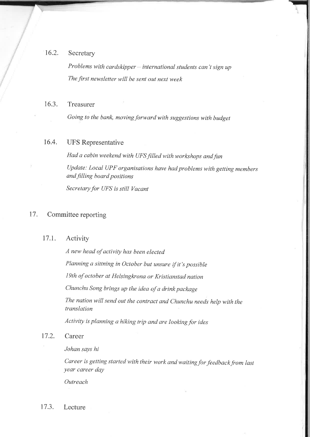## 16.2. Secretary

Problems with cardskipper  $-$  international students can't sign up The first newsletter will be sent out next week

### 16.3. Treasurer

Going to the bank, moving forward with suggestions with budget

### 16.4. UFS Representative

Had a cabin weekend with UFS filled with workshops and fun update: Local UPF organisations have had problems with getting members and filling board positions Secretøry for UFS is still Vacant

## 17. Committee reporting

#### 17.1. Activity

A new head of activity has been elected Planning a sittning in October but unsure if it's possible 19th of october at Helsingkrona or Kristianstad nation Chunchu Song brings up the idea of a drink package The nation will send out the contract and chunchu needs help with the lranslation

Activity is planning a hiking trip and are looking for ides

17.2. Career

Johan says hi

Career is getting started with their work and waiting for feedback from last year career day

**Outreach** 

17.3. Lecture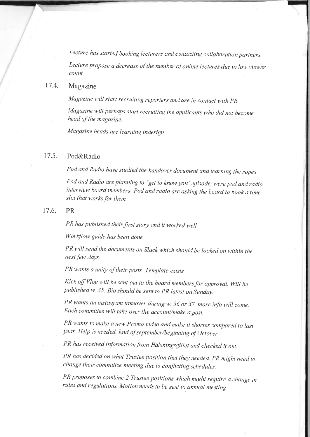Lecture has started booking lecturers and contacting collaboration partners Lecture propose a decrease of the number of online lectures due to low viewer count

#### 17.4. Magazine

Magazine will start recruiting reporters and are in contact with PR

Magazine will perhaps start recruiting the applicants who did not become head of the magazine.

Magazine heads are learning indesign

#### 17.s. Pod&Radio

Pod and Radio have studied the handover document and learning the ropes

Pod and Radio are planning to 'get to know you' episode, were pod and radio interview board members. Pod and radio are asking the board to book a time slot that works for them

#### 17.6 PR

PR has published their first story and it worked well

Workflow guide has been done

PR will send the documents on Slack which should be looked on within the next few days.

PR wants a unity of their posts. Template exists

Kick off Vlog will be sent out to the board members for approval. Will be published w. 35. Bio should be sent to PR latest on Sunday.

PR wants an instagram takeover during w. 36 or 37, more info will come. Each committee will take over the accounr/make a post.

PR wants to make a new Promo video and make it shorter compared to last year. Help is needed. End of september/beginning of October.

PR has received information from Hälsningsgillet and checked it out.

PR has decided on what Trustee position that they needed. PR might need to change their committee meeting due to conflicting schedules.

PR proposes to combine 2 Trustee positions which might require a change in rules ønd regulations. Motion needs to be sent to annual meeting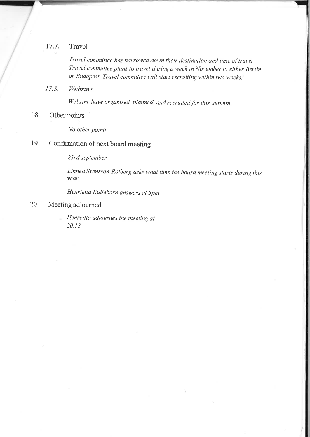## 17.7. Travel

Travel committee has narrowed down their destination and time of travel. Travel committee plans to travel duríng a week in November to either Berlin or Budapest. Travel committee will start recruiting within two weeks.

17.8. Webzine

Webzine have organised, planned, and recruited for this autumn.

18. Other points

No other points

## 19. Confirmation of next board meeting

23rd september

Linnea Svensson-Rotberg asks what time the board meeting starts during this year.

Henrietta Kulleborn answers at 5pm

### 20. Meeting adjourned

Henreitta adjournes the meeting at 20.13